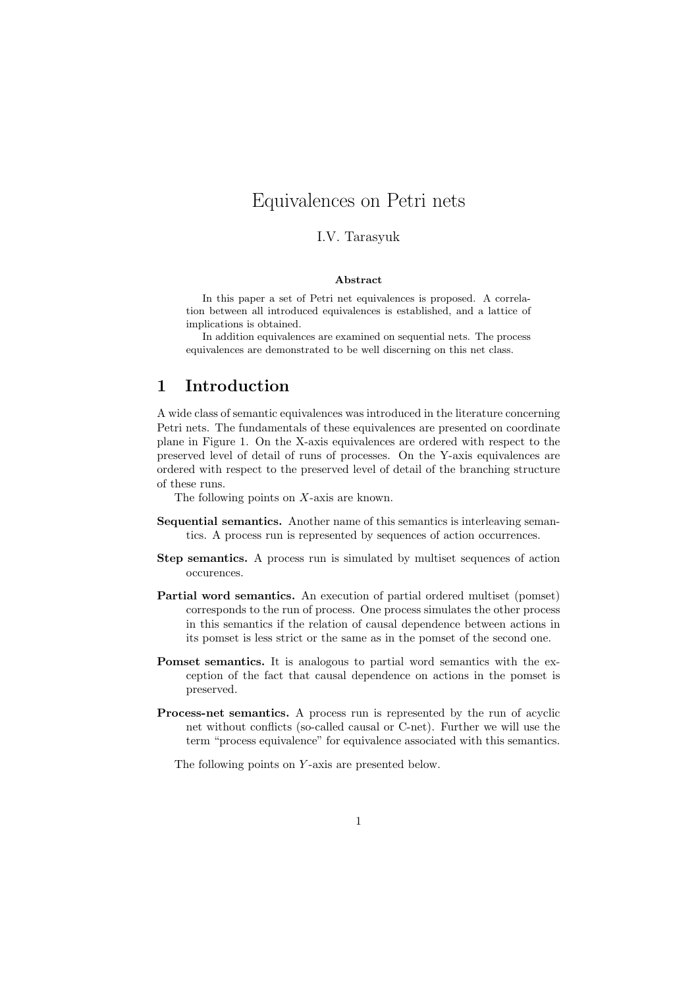# Equivalences on Petri nets

### I.V. Tarasyuk

#### Abstract

In this paper a set of Petri net equivalences is proposed. A correlation between all introduced equivalences is established, and a lattice of implications is obtained.

In addition equivalences are examined on sequential nets. The process equivalences are demonstrated to be well discerning on this net class.

## 1 Introduction

A wide class of semantic equivalences was introduced in the literature concerning Petri nets. The fundamentals of these equivalences are presented on coordinate plane in Figure 1. On the X-axis equivalences are ordered with respect to the preserved level of detail of runs of processes. On the Y-axis equivalences are ordered with respect to the preserved level of detail of the branching structure of these runs.

The following points on X-axis are known.

- Sequential semantics. Another name of this semantics is interleaving semantics. A process run is represented by sequences of action occurrences.
- Step semantics. A process run is simulated by multiset sequences of action occurences.
- Partial word semantics. An execution of partial ordered multiset (pomset) corresponds to the run of process. One process simulates the other process in this semantics if the relation of causal dependence between actions in its pomset is less strict or the same as in the pomset of the second one.
- Pomset semantics. It is analogous to partial word semantics with the exception of the fact that causal dependence on actions in the pomset is preserved.
- Process-net semantics. A process run is represented by the run of acyclic net without conflicts (so-called causal or C-net). Further we will use the term "process equivalence" for equivalence associated with this semantics.

The following points on Y-axis are presented below.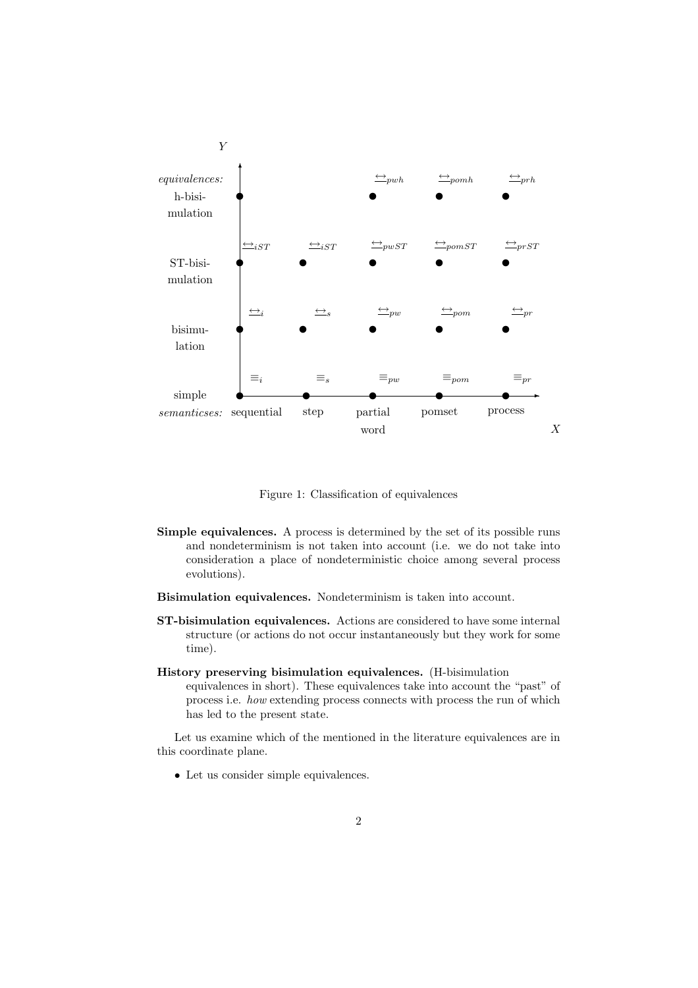

Figure 1: Classification of equivalences

- Simple equivalences. A process is determined by the set of its possible runs and nondeterminism is not taken into account (i.e. we do not take into consideration a place of nondeterministic choice among several process evolutions).
- Bisimulation equivalences. Nondeterminism is taken into account.
- ST-bisimulation equivalences. Actions are considered to have some internal structure (or actions do not occur instantaneously but they work for some time).
- History preserving bisimulation equivalences. (H-bisimulation equivalences in short). These equivalences take into account the "past" of process i.e. how extending process connects with process the run of which has led to the present state.

Let us examine which of the mentioned in the literature equivalences are in this coordinate plane.

• Let us consider simple equivalences.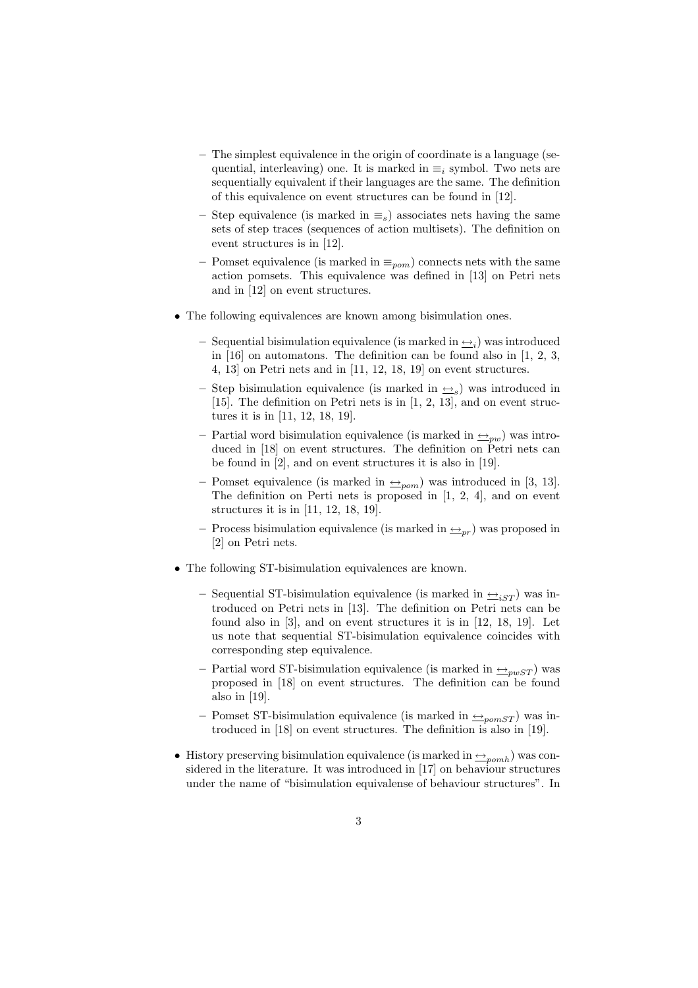- The simplest equivalence in the origin of coordinate is a language (sequential, interleaving) one. It is marked in  $\equiv_i$  symbol. Two nets are sequentially equivalent if their languages are the same. The definition of this equivalence on event structures can be found in [12].
- Step equivalence (is marked in  $\equiv_s$ ) associates nets having the same sets of step traces (sequences of action multisets). The definition on event structures is in [12].
- Pomset equivalence (is marked in  $\equiv_{\text{pom}}$ ) connects nets with the same action pomsets. This equivalence was defined in [13] on Petri nets and in [12] on event structures.
- The following equivalences are known among bisimulation ones.
	- Sequential bisimulation equivalence (is marked in  $\rightarrow i$ ) was introduced in [16] on automatons. The definition can be found also in [1, 2, 3, 4, 13] on Petri nets and in [11, 12, 18, 19] on event structures.
	- Step bisimulation equivalence (is marked in  $\rightarrow$ <sub>s</sub>) was introduced in [15]. The definition on Petri nets is in [1, 2, 13], and on event structures it is in [11, 12, 18, 19].
	- Partial word bisimulation equivalence (is marked in  $\rightarrow_{pw}$ ) was introduced in [18] on event structures. The definition on Petri nets can be found in [2], and on event structures it is also in [19].
	- Pomset equivalence (is marked in  $\rightarrow_{\textit{pom}}$ ) was introduced in [3, 13]. The definition on Perti nets is proposed in [1, 2, 4], and on event structures it is in [11, 12, 18, 19].
	- Process bisimulation equivalence (is marked in  $\triangleq_{pr}$ ) was proposed in [2] on Petri nets.
- The following ST-bisimulation equivalences are known.
	- Sequential ST-bisimulation equivalence (is marked in  $\leftrightarrow$ <sub>iST</sub>) was introduced on Petri nets in [13]. The definition on Petri nets can be found also in [3], and on event structures it is in [12, 18, 19]. Let us note that sequential ST-bisimulation equivalence coincides with corresponding step equivalence.
	- Partial word ST-bisimulation equivalence (is marked in  $\rightarrow_{\text{pwST}}$ ) was proposed in [18] on event structures. The definition can be found also in [19].
	- Pomset ST-bisimulation equivalence (is marked in  $\leftarrow$ <sub>nomST</sub>) was introduced in [18] on event structures. The definition is also in [19].
- History preserving bisimulation equivalence (is marked in  $\rightarrow_{p o m h}$ ) was considered in the literature. It was introduced in [17] on behaviour structures under the name of "bisimulation equivalense of behaviour structures". In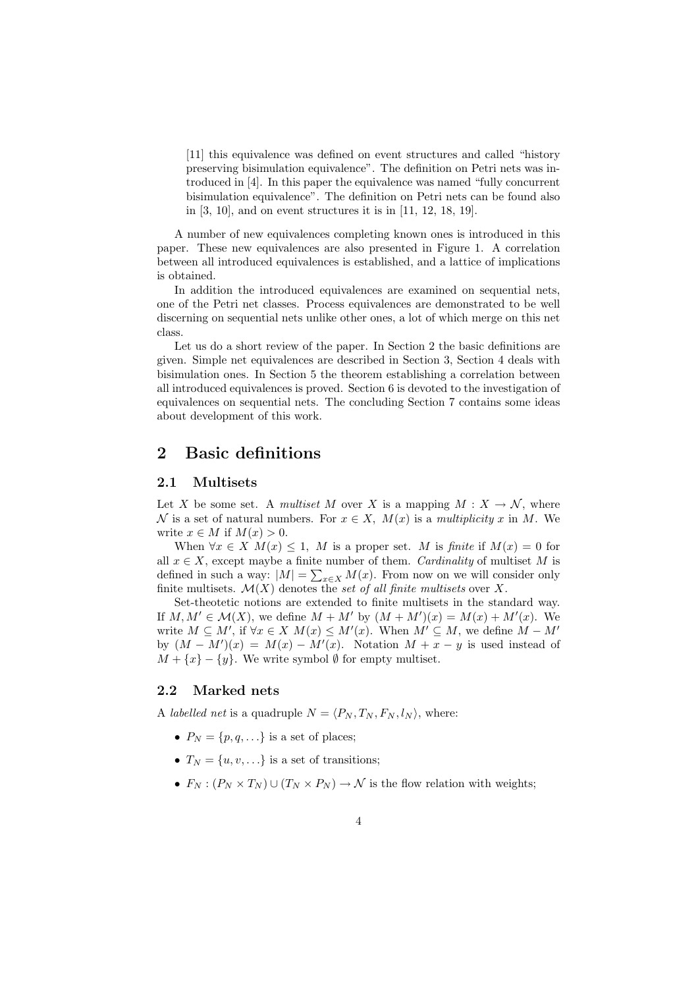[11] this equivalence was defined on event structures and called "history preserving bisimulation equivalence". The definition on Petri nets was introduced in [4]. In this paper the equivalence was named "fully concurrent bisimulation equivalence". The definition on Petri nets can be found also in [3, 10], and on event structures it is in [11, 12, 18, 19].

A number of new equivalences completing known ones is introduced in this paper. These new equivalences are also presented in Figure 1. A correlation between all introduced equivalences is established, and a lattice of implications is obtained.

In addition the introduced equivalences are examined on sequential nets, one of the Petri net classes. Process equivalences are demonstrated to be well discerning on sequential nets unlike other ones, a lot of which merge on this net class.

Let us do a short review of the paper. In Section 2 the basic definitions are given. Simple net equivalences are described in Section 3, Section 4 deals with bisimulation ones. In Section 5 the theorem establishing a correlation between all introduced equivalences is proved. Section 6 is devoted to the investigation of equivalences on sequential nets. The concluding Section 7 contains some ideas about development of this work.

## 2 Basic definitions

### 2.1 Multisets

Let X be some set. A multiset M over X is a mapping  $M: X \to \mathcal{N}$ , where N is a set of natural numbers. For  $x \in X$ ,  $M(x)$  is a multiplicity x in M. We write  $x \in M$  if  $M(x) > 0$ .

When  $\forall x \in X \ M(x) \leq 1$ , M is a proper set. M is finite if  $M(x) = 0$  for all  $x \in X$ , except maybe a finite number of them. Cardinality of multiset M is defined in such a way:  $|M| = \sum_{x \in X} M(x)$ . From now on we will consider only finite multisets.  $\mathcal{M}(X)$  denotes the set of all finite multisets over X.

Set-theotetic notions are extended to finite multisets in the standard way. If  $M, M' \in \mathcal{M}(X)$ , we define  $M + M'$  by  $(M + M')(x) = M(x) + M'(x)$ . We write  $M \subseteq M'$ , if  $\forall x \in X$   $M(x) \leq M'(x)$ . When  $M' \subseteq M$ , we define  $M - M'$ by  $(M - M')(x) = M(x) - M'(x)$ . Notation  $M + x - y$  is used instead of  $M + \{x\} - \{y\}$ . We write symbol  $\emptyset$  for empty multiset.

#### 2.2 Marked nets

A *labelled net* is a quadruple  $N = \langle P_N, T_N, F_N, l_N \rangle$ , where:

- $P_N = \{p, q, ...\}$  is a set of places;
- $T_N = \{u, v, ...\}$  is a set of transitions;
- $F_N : (P_N \times T_N) \cup (T_N \times P_N) \to \mathcal{N}$  is the flow relation with weights;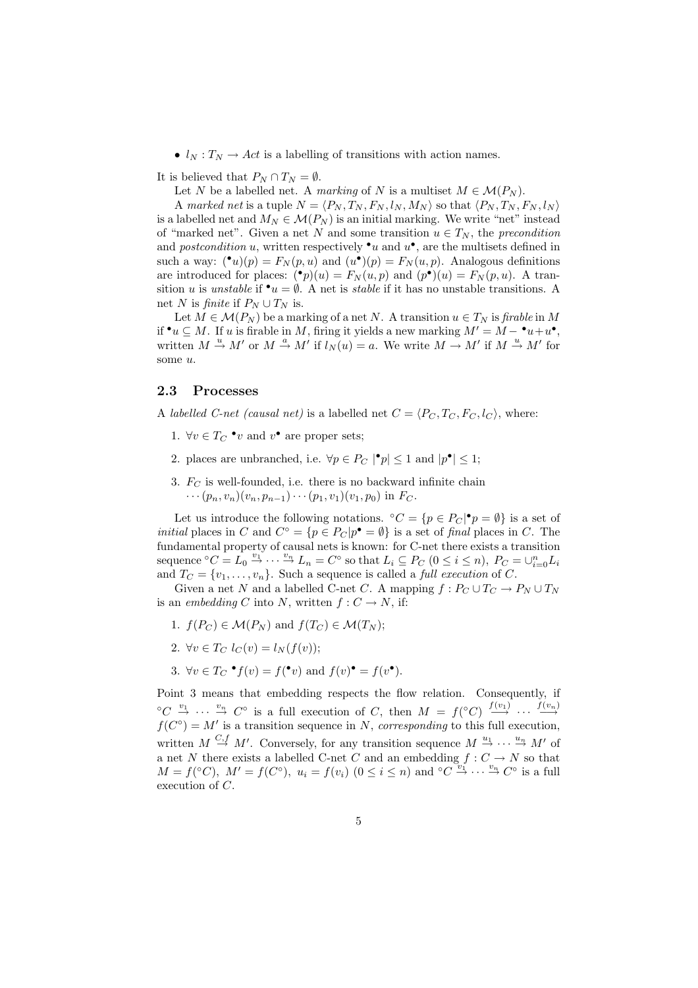•  $l_N : T_N \to Act$  is a labelling of transitions with action names.

It is believed that  $P_N \cap T_N = \emptyset$ .

Let N be a labelled net. A marking of N is a multiset  $M \in \mathcal{M}(P_N)$ .

A marked net is a tuple  $N = \langle P_N, T_N, F_N, l_N, M_N \rangle$  so that  $\langle P_N, T_N, F_N, l_N \rangle$ is a labelled net and  $M_N \in \mathcal{M}(P_N)$  is an initial marking. We write "net" instead of "marked net". Given a net N and some transition  $u \in T_N$ , the precondition and *postcondition* u, written respectively  $\cdot u$  and  $u^{\bullet}$ , are the multisets defined in such a way:  $(\bullet u)(p) = F_N(p, u)$  and  $(u\bullet)(p) = F_N(u, p)$ . Analogous definitions are introduced for places:  $\binom{\bullet}{p}(u) = F_N(u,p)$  and  $(p^{\bullet})(u) = F_N(p,u)$ . A transition u is unstable if  $\bullet u = \emptyset$ . A net is *stable* if it has no unstable transitions. A net N is finite if  $P_N \cup T_N$  is.

Let  $M \in \mathcal{M}(P_N)$  be a marking of a net N. A transition  $u \in T_N$  is firable in M if  $\bullet u \subseteq M$ . If u is firable in M, firing it yields a new marking  $M' = M - \bullet u + u^{\bullet}$ , written  $M \stackrel{u}{\rightarrow} M'$  or  $M \stackrel{a}{\rightarrow} M'$  if  $l_N(u) = a$ . We write  $M \rightarrow M'$  if  $M \stackrel{u}{\rightarrow} M'$  for some u.

#### 2.3 Processes

A labelled C-net (causal net) is a labelled net  $C = \langle P_C, T_C, F_C, l_C \rangle$ , where:

- 1.  $\forall v \in T_C \cdot v$  and  $v^{\bullet}$  are proper sets;
- 2. places are unbranched, i.e.  $\forall p \in P_C \mid p \leq 1$  and  $|p^{\bullet}| \leq 1$ ;
- 3.  $F_C$  is well-founded, i.e. there is no backward infinite chain  $\cdots (p_n, v_n)(v_n, p_{n-1})\cdots (p_1, v_1)(v_1, p_0)$  in  $F_C$ .

Let us introduce the following notations.  ${}^{\circ}C = \{p \in P_C | \bullet p = \emptyset\}$  is a set of *initial* places in C and  $C^{\circ} = \{p \in P_C | p^{\bullet} = \emptyset\}$  is a set of final places in C. The fundamental property of causal nets is known: for C-net there exists a transition sequence  ${}^{\circ}C = L_0 \stackrel{v_1}{\rightarrow} \cdots \stackrel{v_n}{\rightarrow} L_n = C^{\circ}$  so that  $L_i \subseteq P_C$   $(0 \leq i \leq n)$ ,  $P_C = \cup_{i=0}^n L_i$ and  $T_C = \{v_1, \ldots, v_n\}$ . Such a sequence is called a *full execution* of C.

Given a net N and a labelled C-net C. A mapping  $f: P_C \cup T_C \to P_N \cup T_N$ is an embedding C into N, written  $f: C \to N$ , if:

- 1.  $f(P_C) \in \mathcal{M}(P_N)$  and  $f(T_C) \in \mathcal{M}(T_N)$ ;
- 2.  $\forall v \in T_C$   $l_C(v) = l_N(f(v));$
- 3.  $\forall v \in T_C \bullet f(v) = f(\bullet v)$  and  $f(v) \bullet f(v) = f(v \bullet)$ .

Point 3 means that embedding respects the flow relation. Consequently, if  ${}^{\circ}C \stackrel{v_1}{\rightarrow} \cdots \stackrel{v_n}{\rightarrow} C^{\circ}$  is a full execution of C, then  $M = f({}^{\circ}C) \stackrel{f(v_1)}{\rightarrow} \cdots \stackrel{f(v_n)}{\rightarrow}$  $f(C^{\circ}) = M'$  is a transition sequence in N, corresponding to this full execution, written  $M \stackrel{C,f}{\rightarrow} M'$ . Conversely, for any transition sequence  $M \stackrel{u_1}{\rightarrow} \cdots \stackrel{u_n}{\rightarrow} M'$  of a net N there exists a labelled C-net C and an embedding  $f: C \to N$  so that  $M = f({}^{\circ}C)$ ,  $M' = f(C^{\circ})$ ,  $u_i = f(v_i)$   $(0 \leq i \leq n)$  and  ${}^{\circ}C \stackrel{v_i}{\rightarrow} \cdots \stackrel{v_n}{\rightarrow} C^{\circ}$  is a full execution of C.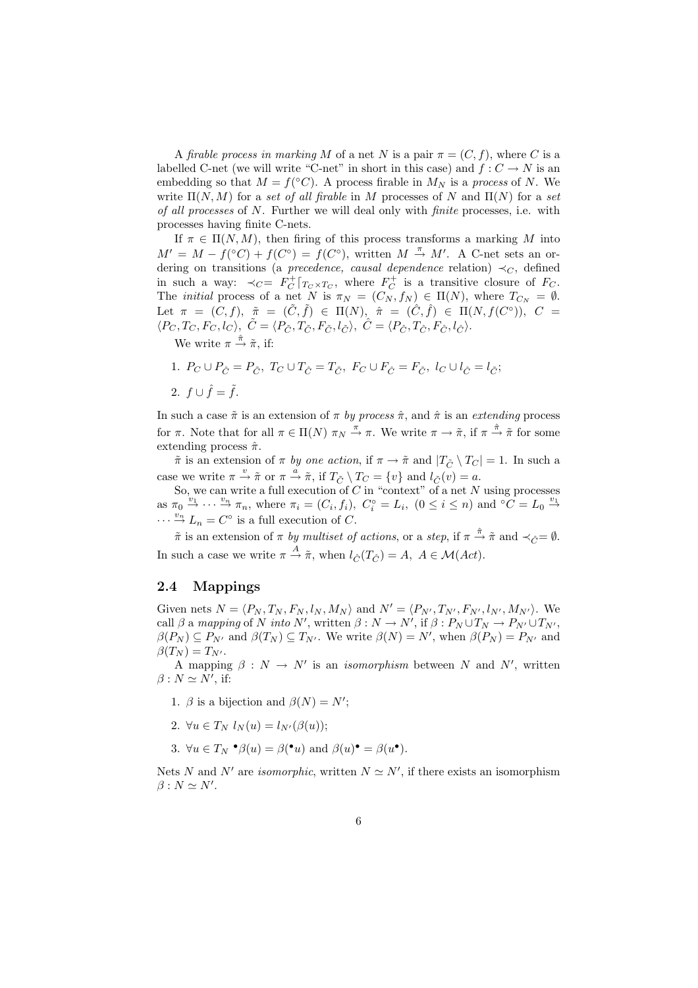A firable process in marking M of a net N is a pair  $\pi = (C, f)$ , where C is a labelled C-net (we will write "C-net" in short in this case) and  $f: C \to N$  is an embedding so that  $M = f({}^{\circ}C)$ . A process firable in  $M_N$  is a process of N. We write  $\Pi(N, M)$  for a set of all firable in M processes of N and  $\Pi(N)$  for a set of all processes of N. Further we will deal only with finite processes, i.e. with processes having finite C-nets.

If  $\pi \in \Pi(N,M)$ , then firing of this process transforms a marking M into  $M' = M - f({}^{\circ}C) + f(C^{\circ}) = f(C^{\circ}),$  written  $M \stackrel{\pi}{\rightarrow} M'$ . A C-net sets an ordering on transitions (a precedence, causal dependence relation)  $\prec_C$ , defined in such a way:  $\prec_C = F_C^+ |_{T_C \times T_C}$ , where  $F_C^+$  is a transitive closure of  $F_C$ . The *initial* process of a net N is  $\pi_N = (C_N, f_N) \in \Pi(N)$ , where  $T_{C_N} = \emptyset$ . Let  $\pi = (C, f), \tilde{\pi} = (\tilde{C}, \tilde{f}) \in \Pi(N), \hat{\pi} = (\tilde{C}, \hat{f}) \in \Pi(N, f(C^{\circ})), C =$  $\langle P_C, T_C, F_C, l_C \rangle, \ \tilde{C} = \langle P_{\tilde{C}}, T_{\tilde{C}}, F_{\tilde{C}}, l_{\tilde{C}} \rangle, \ \hat{C} = \langle P_{\hat{C}}, T_{\hat{C}}, F_{\hat{C}}, l_{\hat{C}} \rangle.$ 

We write  $\pi \stackrel{\hat{\pi}}{\rightarrow} \tilde{\pi}$ , if:

1. 
$$
P_C \cup P_{\hat{C}} = P_{\tilde{C}}, T_C \cup T_{\hat{C}} = T_{\tilde{C}}, F_C \cup F_{\hat{C}} = F_{\tilde{C}}, l_C \cup l_{\hat{C}} = l_{\tilde{C}};
$$
  
2.  $f \cup \hat{f} = \tilde{f}.$ 

In such a case  $\tilde{\pi}$  is an extension of  $\pi$  by process  $\hat{\pi}$ , and  $\hat{\pi}$  is an extending process for  $\pi$ . Note that for all  $\pi \in \Pi(N)$   $\pi_N \stackrel{\pi}{\to} \pi$ . We write  $\pi \to \tilde{\pi}$ , if  $\pi \stackrel{\hat{\pi}}{\to} \tilde{\pi}$  for some extending process  $\hat{\pi}$ .

 $\tilde{\pi}$  is an extension of  $\pi$  by one action, if  $\pi \to \tilde{\pi}$  and  $|T_{\tilde{C}} \setminus T_C| = 1$ . In such a case we write  $\pi \stackrel{v}{\rightarrow} \tilde{\pi}$  or  $\pi \stackrel{a}{\rightarrow} \tilde{\pi}$ , if  $T_{\tilde{C}} \setminus T_C = \{v\}$  and  $l_{\tilde{C}}(v) = a$ .

So, we can write a full execution of  $C$  in "context" of a net  $N$  using processes as  $\pi_0 \stackrel{'v_1}{\rightarrow} \cdots \stackrel{v_n}{\rightarrow} \pi_n$ , where  $\pi_i = (C_i, f_i)$ ,  $C_i^{\circ} = L_i$ ,  $(0 \le i \le n)$  and  ${}^{\circ}C = L_0 \stackrel{v_1}{\rightarrow}$  $\cdots \stackrel{v_n}{\rightarrow} L_n = C^{\circ}$  is a full execution of C.

 $\tilde{\pi}$  is an extension of  $\pi$  by multiset of actions, or a step, if  $\pi \stackrel{\hat{\pi}}{\to} \tilde{\pi}$  and  $\prec_{\hat{C}} = \emptyset$ . In such a case we write  $\pi \stackrel{A}{\rightarrow} \tilde{\pi}$ , when  $l_{\hat{C}}(T_{\hat{C}}) = A$ ,  $A \in \mathcal{M}(Act)$ .

### 2.4 Mappings

Given nets  $N = \langle P_N, T_N, F_N, l_N, M_N \rangle$  and  $N' = \langle P_{N'}, T_{N'}, F_{N'}, l_{N'}, M_{N'} \rangle$ . We call  $\beta$  a mapping of N into N', written  $\beta : N \to N'$ , if  $\beta : P_N \cup T_N \to P_{N'} \cup T_{N'}$ ,  $\beta(P_N) \subseteq P_{N'}$  and  $\beta(T_N) \subseteq T_{N'}$ . We write  $\beta(N) = N'$ , when  $\beta(P_N) = P_{N'}$  and  $\beta(T_N) = T_{N'}$ .

A mapping  $\beta : N \to N'$  is an *isomorphism* between N and N', written  $\beta : N \simeq N'$ , if:

- 1.  $\beta$  is a bijection and  $\beta(N) = N'$ ;
- 2.  $\forall u \in T_N$   $l_N(u) = l_{N'}(\beta(u));$
- 3.  $\forall u \in T_N \bullet \beta(u) = \beta(\bullet u) \text{ and } \beta(u) \bullet \beta(u) \bullet \beta(u).$

Nets N and N' are *isomorphic*, written  $N \simeq N'$ , if there exists an isomorphism  $\beta : N \simeq N'.$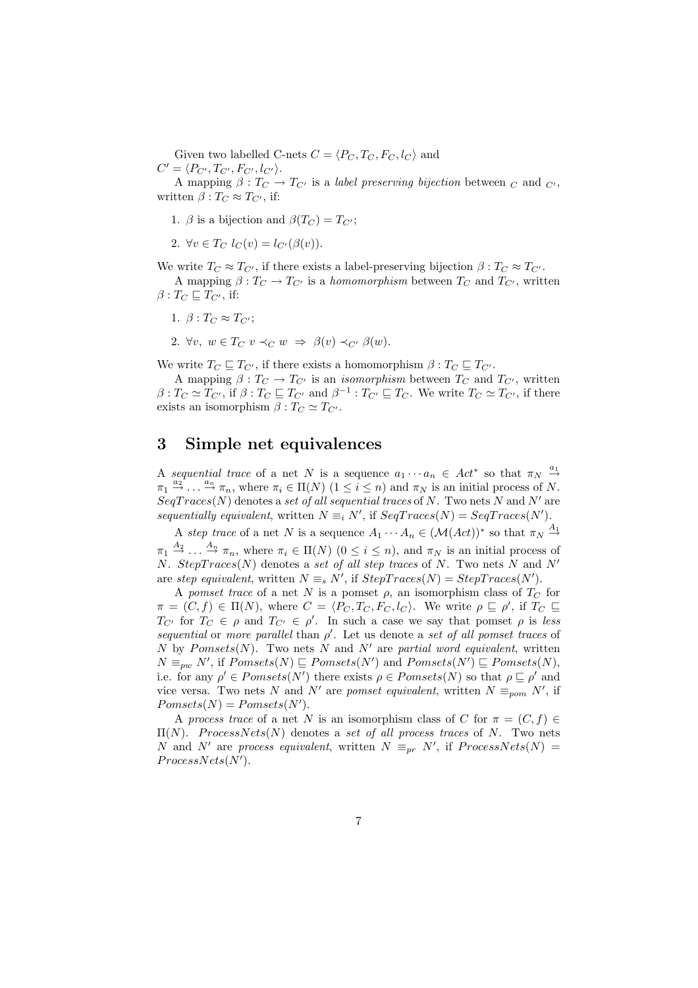Given two labelled C-nets  $C = \langle P_C, T_C, F_C, l_C \rangle$  and  $C' = \langle P_{C'}, T_{C'}, F_{C'}, l_{C'} \rangle.$ 

A mapping  $\beta: T_{C} \to T_{C'}$  is a *label preserving bijection* between  $_C$  and  $_{C'}$ , written  $\beta: T_{C} \approx T_{C'}$ , if:

1.  $\beta$  is a bijection and  $\beta(T_C) = T_{C'}$ ;

2. 
$$
\forall v \in T_C \ l_C(v) = l_{C'}(\beta(v)).
$$

We write  $T_C \approx T_{C'}$ , if there exists a label-preserving bijection  $\beta : T_C \approx T_{C'}$ .

A mapping  $\beta: T_{C} \to T_{C'}$  is a *homomorphism* between  $T_{C}$  and  $T_{C'}$ , written  $\beta: T_C \sqsubseteq T_{C'}$ , if:

1.  $\beta: T_C \approx T_{C'};$ 

2.  $\forall v, w \in T_C$   $v \prec_C w \Rightarrow \beta(v) \prec_{C'} \beta(w)$ .

We write  $T_C \sqsubseteq T_{C'}$ , if there exists a homomorphism  $\beta : T_C \sqsubseteq T_{C'}$ .

A mapping  $\beta: T_{C} \to T_{C'}$  is an *isomorphism* between  $T_{C}$  and  $T_{C'}$ , written  $\beta: T_C \simeq T_{C'}$ , if  $\beta: T_C \sqsubseteq T_{C'}$  and  $\beta^{-1}: T_{C'} \sqsubseteq T_C$ . We write  $T_C \simeq T_{C'}$ , if there exists an isomorphism  $\beta : T_C \simeq T_{C'}$ .

## 3 Simple net equivalences

A sequential trace of a net N is a sequence  $a_1 \cdots a_n \in Act^*$  so that  $\pi_N \stackrel{a_1}{\rightarrow}$  $\pi_1 \stackrel{a_2}{\rightarrow} \dots \stackrel{a_n}{\rightarrow} \pi_n$ , where  $\pi_i \in \Pi(N)$   $(1 \leq i \leq n)$  and  $\pi_N$  is an initial process of N.  $SeqTraces(N)$  denotes a set of all sequential traces of N. Two nets N and N' are sequentially equivalent, written  $N \equiv_i N'$ , if  $SeqTraces(N) = SeqTraces(N')$ .

A step trace of a net N is a sequence  $A_1 \cdots A_n \in (\mathcal{M}(Act))^*$  so that  $\pi_N \stackrel{A_1}{\rightarrow}$  $\pi_1 \stackrel{A_2}{\rightarrow} \dots \stackrel{A_n}{\rightarrow} \pi_n$ , where  $\pi_i \in \Pi(N)$   $(0 \leq i \leq n)$ , and  $\pi_N$  is an initial process of N. StepTraces(N) denotes a set of all step traces of N. Two nets N and N' are step equivalent, written  $N \equiv_s N'$ , if  $StepTrace(N) = StepTrace(N')$ .

A pomset trace of a net N is a pomset  $\rho$ , an isomorphism class of  $T_C$  for  $\pi = (C, f) \in \Pi(N)$ , where  $C = \langle P_C, T_C, F_C, l_C \rangle$ . We write  $\rho \subseteq \rho'$ , if  $T_C \subseteq$  $T_{C'}$  for  $T_C \in \rho$  and  $T_{C'} \in \rho'$ . In such a case we say that pomset  $\rho$  is less sequential or more parallel than  $\rho'$ . Let us denote a set of all pomset traces of N by Pomsets(N). Two nets N and N' are partial word equivalent, written  $N \equiv_{pw} N'$ , if  $Pomsets(N) \sqsubseteq Pomsets(N')$  and  $Pomsets(N') \sqsubseteq Pomsets(N)$ , i.e. for any  $\rho' \in Pomsets(N')$  there exists  $\rho \in Pomsets(N)$  so that  $\rho \sqsubseteq \rho'$  and vice versa. Two nets N and N' are pomset equivalent, written  $N \equiv_{\text{pom}} N'$ , if  $Pomsets(N) = Pomsets(N').$ 

A process trace of a net N is an isomorphism class of C for  $\pi = (C, f) \in$  $\Pi(N)$ . ProcessNets(N) denotes a set of all process traces of N. Two nets N and N' are process equivalent, written  $N \equiv_{pr} N'$ , if  $ProcessNets(N) =$  $ProcessNets(N').$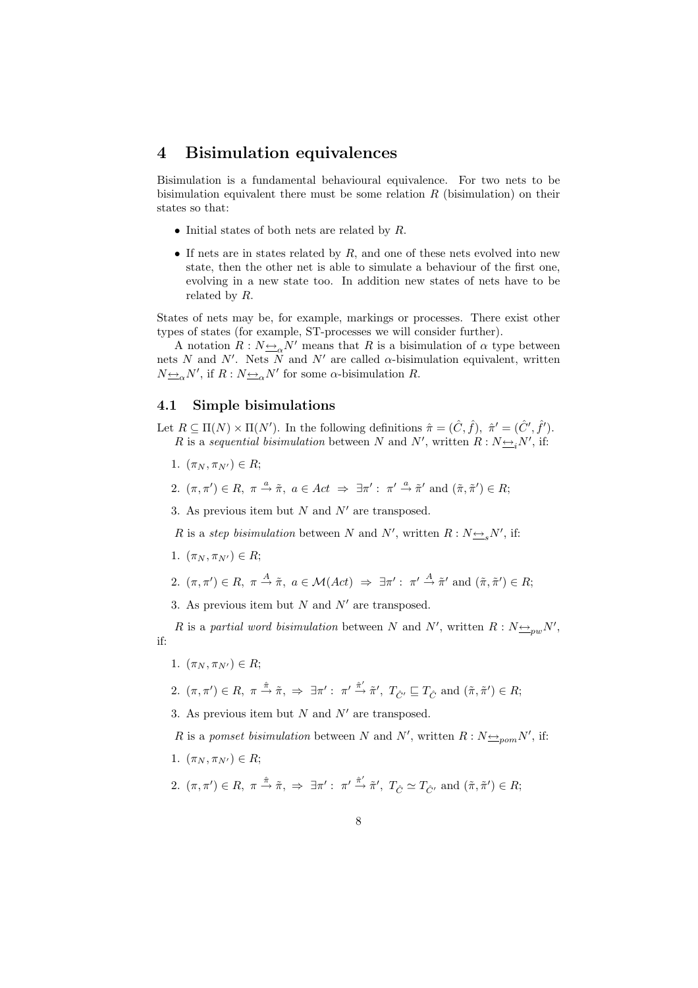## 4 Bisimulation equivalences

Bisimulation is a fundamental behavioural equivalence. For two nets to be bisimulation equivalent there must be some relation  $R$  (bisimulation) on their states so that:

- Initial states of both nets are related by  $R$ .
- If nets are in states related by  $R$ , and one of these nets evolved into new state, then the other net is able to simulate a behaviour of the first one, evolving in a new state too. In addition new states of nets have to be related by R.

States of nets may be, for example, markings or processes. There exist other types of states (for example, ST-processes we will consider further).

A notation  $R: N \rightarrow N'$  means that R is a bisimulation of  $\alpha$  type between nets N and N'. Nets N and N' are called  $\alpha$ -bisimulation equivalent, written  $N_{\frac{\leftrightarrow}{\infty}}N'$ , if  $R: N_{\frac{\leftrightarrow}{\infty}}N'$  for some  $\alpha$ -bisimulation R.

### 4.1 Simple bisimulations

Let  $R \subseteq \Pi(N) \times \Pi(N')$ . In the following definitions  $\hat{\pi} = (\hat{C}, \hat{f}), \hat{\pi}' = (\hat{C}', \hat{f}')$ . R is a sequential bisimulation between N and N', written  $R: N \rightarrow N'$ , if:

- 1.  $(\pi_N, \pi_{N'}) \in R$ ;
- 2.  $(\pi, \pi') \in R$ ,  $\pi \stackrel{a}{\rightarrow} \tilde{\pi}$ ,  $a \in Act \Rightarrow \exists \pi' : \pi' \stackrel{a}{\rightarrow} \tilde{\pi}'$  and  $(\tilde{\pi}, \tilde{\pi}') \in R$ ;

3. As previous item but N and  $N'$  are transposed.

R is a step bisimulation between N and N', written  $R : N_{\frac{\leftrightarrow}{\infty}}N'$ , if:

- 1.  $(\pi_N, \pi_{N'}) \in R;$
- 2.  $(\pi, \pi') \in R$ ,  $\pi \stackrel{A}{\rightarrow} \tilde{\pi}$ ,  $a \in \mathcal{M}(Act) \Rightarrow \exists \pi' : \pi' \stackrel{A}{\rightarrow} \tilde{\pi}'$  and  $(\tilde{\pi}, \tilde{\pi}') \in R$ ;
- 3. As previous item but  $N$  and  $N'$  are transposed.

R is a partial word bisimulation between N and N', written  $R: N_{\frac{\leftrightarrow}{\sim}pw}N'$ , if:

- 1.  $(\pi_N, \pi_{N'}) \in R$ ;
- $2. \, (\pi, \pi') \in R, \, \pi \stackrel{\hat{\pi}}{\rightarrow} \tilde{\pi}, \, \Rightarrow \, \exists \pi' : \, \pi' \stackrel{\hat{\pi}'}{\rightarrow} \tilde{\pi}', \, T_{\hat{C}'} \sqsubseteq T_{\hat{C}} \text{ and } (\tilde{\pi}, \tilde{\pi}') \in R;$

3. As previous item but  $N$  and  $N'$  are transposed.

R is a pomset bisimulation between N and N', written  $R: N \rightarrow p_{\text{com}} N'$ , if:

- 1.  $(\pi_N, \pi_{N'}) \in R;$
- $2. \, (\pi, \pi') \in R, \, \pi \stackrel{\hat{\pi}}{\rightarrow} \tilde{\pi}, \, \Rightarrow \, \exists \pi' : \, \pi' \stackrel{\hat{\pi}'}{\rightarrow} \tilde{\pi}', \, T_{\hat{C}} \simeq T_{\hat{C'}} \text{ and } (\tilde{\pi}, \tilde{\pi}') \in R;$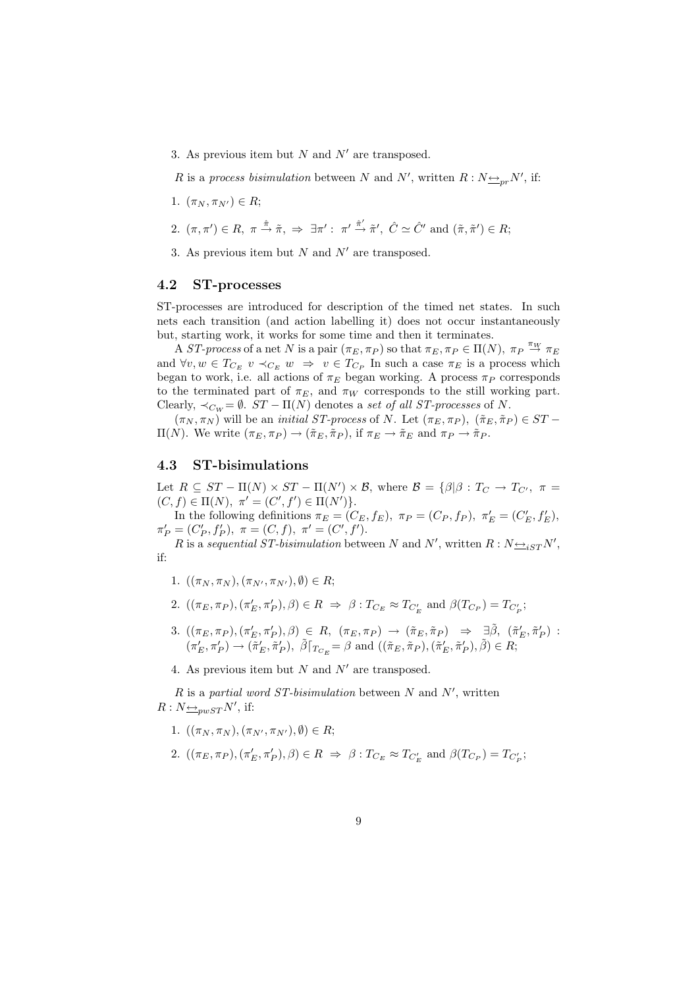3. As previous item but N and  $N'$  are transposed.

R is a process bisimulation between N and N', written  $R : N_{\frac{\leftrightarrow}{\sim} p r} N'$ , if:

1.  $(\pi_N, \pi_{N'}) \in R;$ 

2. 
$$
(\pi, \pi') \in R
$$
,  $\pi \xrightarrow{\hat{\pi}} \tilde{\pi}$ ,  $\Rightarrow \exists \pi' : \pi' \xrightarrow{\hat{\pi}'} \tilde{\pi}', \hat{C} \simeq \hat{C}'$  and  $(\tilde{\pi}, \tilde{\pi}') \in R$ ;

3. As previous item but N and  $N'$  are transposed.

### 4.2 ST-processes

ST-processes are introduced for description of the timed net states. In such nets each transition (and action labelling it) does not occur instantaneously but, starting work, it works for some time and then it terminates.

A ST-process of a net N is a pair  $(\pi_E, \pi_P)$  so that  $\pi_E, \pi_P \in \Pi(N)$ ,  $\pi_P \stackrel{\pi_W}{\to} \pi_E$ and  $\forall v, w \in T_{C_E}$   $v \prec_{C_E} w \Rightarrow v \in T_{C_P}$  In such a case  $\pi_E$  is a process which began to work, i.e. all actions of  $\pi_E$  began working. A process  $\pi_P$  corresponds to the terminated part of  $\pi_E$ , and  $\pi_W$  corresponds to the still working part. Clearly,  $\prec_{C_W} = \emptyset$ .  $ST - \Pi(N)$  denotes a set of all ST-processes of N.

 $(\pi_N, \pi_N)$  will be an *initial ST-process* of N. Let  $(\pi_E, \pi_P)$ ,  $(\tilde{\pi}_E, \tilde{\pi}_P) \in ST$  $\Pi(N)$ . We write  $(π<sub>E</sub>, π<sub>P</sub>) → (π<sub>E</sub>, π<sub>P</sub>),$  if  $π<sub>E</sub> → π<sub>E</sub>$  and  $π<sub>P</sub> → π<sub>P</sub>$ .

#### 4.3 ST-bisimulations

Let  $R \subseteq ST - \Pi(N) \times ST - \Pi(N') \times \mathcal{B}$ , where  $\mathcal{B} = \{\beta | \beta : T_{C} \rightarrow T_{C'}$ ,  $\pi =$  $(C, f) \in \Pi(N), \pi' = (C', f') \in \Pi(N')$ .

In the following definitions  $\pi_E = (C_E, f_E)$ ,  $\pi_P = (C_P, f_P)$ ,  $\pi'_E = (C'_E, f'_E)$ ,  $\pi'_P = (C'_P, f'_P), \pi = (C, f), \pi' = (C', f').$ 

R is a sequential ST-bisimulation between N and N', written  $R : N \rightarrow \text{S}$ if:

- 1.  $((\pi_N, \pi_N), (\pi_{N'}, \pi_{N'}), \emptyset) \in R;$
- 2.  $((\pi_E, \pi_P), (\pi'_E, \pi'_P), \beta) \in R \implies \beta : T_{C_E} \approx T_{C'_E}$  and  $\beta(T_{C_P}) = T_{C'_P}$ ;
- 3.  $((\pi_E, \pi_P), (\pi'_E, \pi'_P), \beta) \in R$ ,  $(\pi_E, \pi_P) \rightarrow (\tilde{\pi}_E, \tilde{\pi}_P) \Rightarrow \exists \tilde{\beta}$ ,  $(\tilde{\pi}'_E, \tilde{\pi}'_P)$ :  $(\pi'_E, \pi'_P) \to (\tilde{\pi}'_E, \tilde{\pi}'_P), \ \tilde{\beta}\vert_{T_{C_E}} = \beta \text{ and } ((\tilde{\pi}_E, \tilde{\pi}_P), (\tilde{\pi}'_E, \tilde{\pi}'_P), \tilde{\beta}) \in R;$
- 4. As previous item but N and  $N'$  are transposed.

R is a partial word ST-bisimulation between N and  $N'$ , written  $R: N \rightarrow \text{sumST} N'$ , if:

- 1.  $((\pi_N, \pi_N), (\pi_{N'}, \pi_{N'}), \emptyset) \in R;$
- 2.  $((\pi_E, \pi_P), (\pi'_E, \pi'_P), \beta) \in R \implies \beta : T_{C_E} \approx T_{C'_E}$  and  $\beta(T_{C_P}) = T_{C'_P}$ ;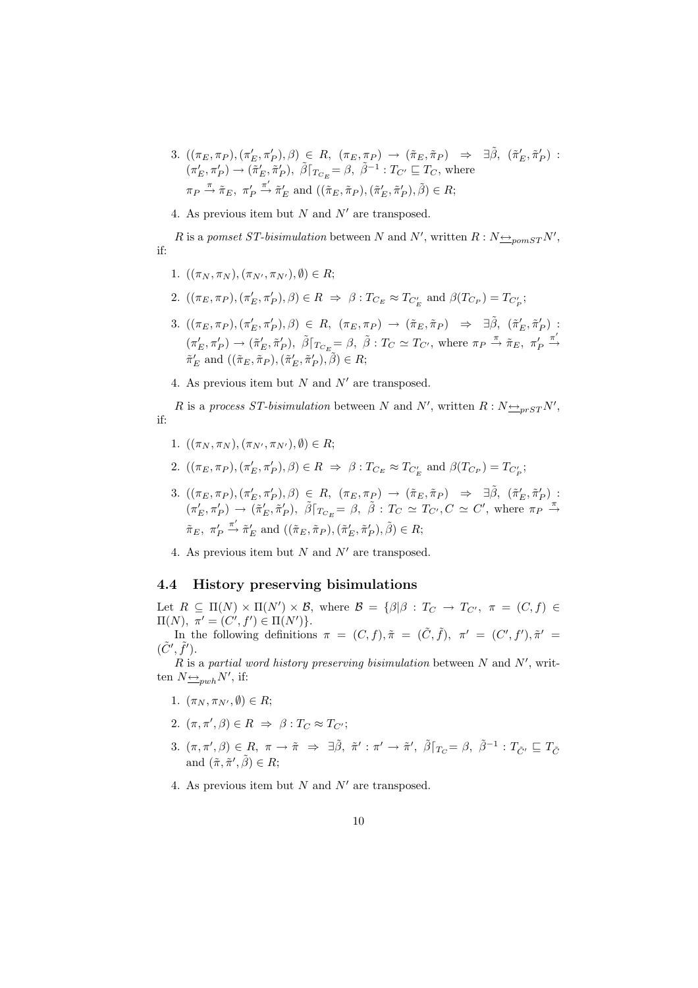- 3.  $((\pi_E, \pi_P), (\pi'_E, \pi'_P), \beta) \in R$ ,  $(\pi_E, \pi_P) \rightarrow (\tilde{\pi}_E, \tilde{\pi}_P) \Rightarrow \exists \tilde{\beta}$ ,  $(\tilde{\pi}'_E, \tilde{\pi}'_P)$ :  $(\pi'_E, \pi'_P) \to (\tilde{\pi}'_E, \tilde{\pi}'_P), \ \tilde{\beta}\vert_{T_{C_E}} = \beta, \ \tilde{\beta}^{-1} : T_{C'} \sqsubseteq T_C$ , where  $\pi_P \stackrel{\pi}{\rightarrow} \tilde{\pi}_E, \pi'_P$  $\stackrel{\pi'}{\rightarrow} \tilde{\pi}'_E$  and  $((\tilde{\pi}_E, \tilde{\pi}_P), (\tilde{\pi}'_E, \tilde{\pi}'_P), \tilde{\beta}) \in R;$
- 4. As previous item but N and  $N'$  are transposed.

R is a pomset ST-bisimulation between N and N', written  $R : N \rightarrow p_{\text{conv}} S T N'$ , if:

- 1.  $((\pi_N, \pi_N), (\pi_{N'}, \pi_{N'}), \emptyset) \in R$ ;
- 2.  $((\pi_E, \pi_P), (\pi'_E, \pi'_P), \beta) \in R \implies \beta : T_{C_E} \approx T_{C'_E}$  and  $\beta(T_{C_P}) = T_{C'_P}$ ;
- 3.  $((\pi_E, \pi_P), (\pi'_E, \pi'_P), \beta) \in R$ ,  $(\pi_E, \pi_P) \rightarrow (\tilde{\pi}_E, \tilde{\pi}_P) \Rightarrow \exists \tilde{\beta}$ ,  $(\tilde{\pi}'_E, \tilde{\pi}'_P)$ :  $(\pi'_E, \pi'_P) \to (\tilde{\pi}'_E, \tilde{\pi}'_P), \ \tilde{\beta}\vert_{T_{C_E}} = \beta, \ \tilde{\beta}: T_C \simeq T_{C'}$ , where  $\pi_P \stackrel{\pi}{\to} \tilde{\pi}_E, \ \pi'_P$  $\xrightarrow{\pi'}$  $\tilde{\pi}'_E$  and  $((\tilde{\pi}_E, \tilde{\pi}_P), (\tilde{\pi}'_E, \tilde{\pi}'_P), \tilde{\beta}) \in R;$
- 4. As previous item but  $N$  and  $N'$  are transposed.

R is a process ST-bisimulation between N and N', written  $R : N \rightarrow P_{prST} N'$ , if:

- 1.  $((\pi_N, \pi_N), (\pi_{N'}, \pi_{N'}), \emptyset) \in R;$
- 2.  $((\pi_E, \pi_P), (\pi'_E, \pi'_P), \beta) \in R \implies \beta : T_{C_E} \approx T_{C'_E}$  and  $\beta(T_{C_P}) = T_{C'_P}$ ;
- 3.  $((\pi_E, \pi_P), (\pi'_E, \pi'_P), \beta) \in R$ ,  $(\pi_E, \pi_P) \rightarrow (\tilde{\pi}_E, \tilde{\pi}_P) \Rightarrow \exists \tilde{\beta}$ ,  $(\tilde{\pi}'_E, \tilde{\pi}'_P)$ :  $(\pi'_E, \pi'_P) \to (\tilde{\pi}'_E, \tilde{\pi}'_P), \ \tilde{\beta} \rceil_{T_{C_E}} = \beta, \ \tilde{\beta} : T_C \simeq T_{C'}, C \simeq C', \text{ where } \pi_P \stackrel{\pi}{\to}$  $\tilde{\pi}_E$ ,  $\pi'_F$  $\stackrel{\pi'}{\rightarrow} \tilde{\pi}'_E$  and  $((\tilde{\pi}_E, \tilde{\pi}_P), (\tilde{\pi}'_E, \tilde{\pi}'_P), \tilde{\beta}) \in R;$
- 4. As previous item but  $N$  and  $N'$  are transposed.

#### 4.4 History preserving bisimulations

Let  $R \subseteq \Pi(N) \times \Pi(N') \times \mathcal{B}$ , where  $\mathcal{B} = {\beta | \beta : T_{C} \rightarrow T_{C'}}, \pi = (C, f) \in$  $\Pi(N), \pi' = (C', f') \in \Pi(N')$ .

In the following definitions  $\pi = (C, f), \tilde{\pi} = (\tilde{C}, \tilde{f}), \pi' = (C', f'), \tilde{\pi}' =$  $(\tilde{C}', \tilde{f}')$ .

 $R$  is a partial word history preserving bisimulation between  $N$  and  $N'$ , written  $N \underline{\leftrightarrow}_{pwh} N'$ , if:

- 1.  $(\pi_N, \pi_{N'}, \emptyset) \in R;$
- 2.  $(\pi, \pi', \beta) \in R \Rightarrow \beta : T_C \approx T_{C'};$
- 3.  $(\pi, \pi', \beta) \in R$ ,  $\pi \to \tilde{\pi} \Rightarrow \exists \tilde{\beta}$ ,  $\tilde{\pi}' : \pi' \to \tilde{\pi}'$ ,  $\tilde{\beta} \vert_{T_C} = \beta$ ,  $\tilde{\beta}^{-1} : T_{\tilde{C}'} \sqsubseteq T_{\tilde{C}}$ and  $(\tilde{\pi}, \tilde{\pi}', \tilde{\beta}) \in R;$
- 4. As previous item but  $N$  and  $N'$  are transposed.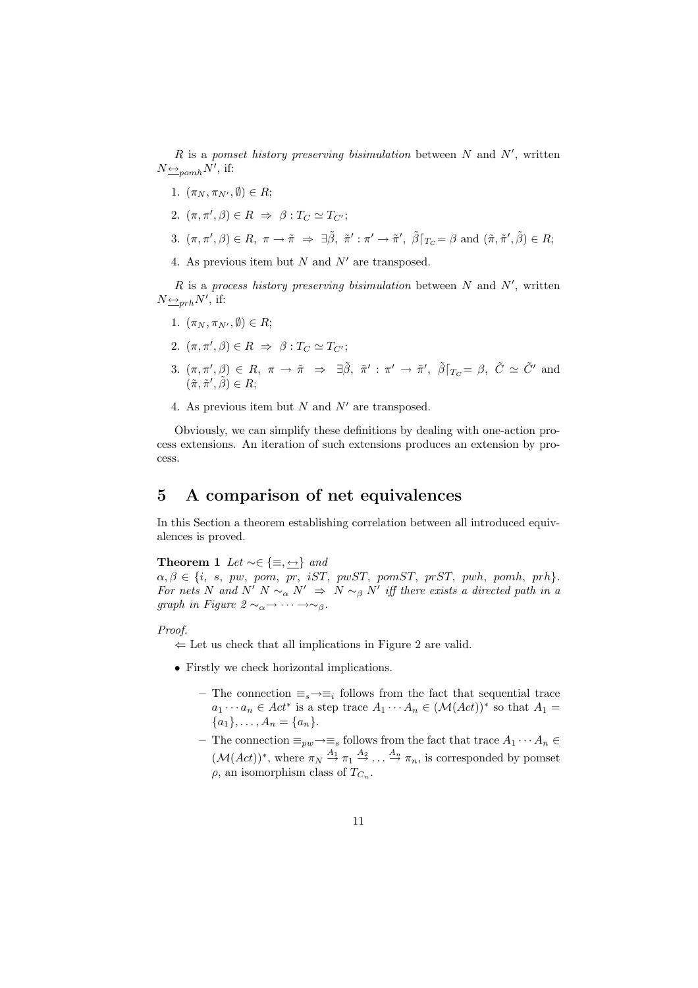R is a pomset history preserving bisimulation between  $N$  and  $N'$ , written  $N \underline{\leftrightarrow}_{pomh} N'$ , if:

- 1.  $(\pi_N, \pi_{N'}, \emptyset) \in R$ ;
- 2.  $(\pi, \pi', \beta) \in R \Rightarrow \beta : T_C \simeq T_{C'};$
- 3.  $(\pi, \pi', \beta) \in R$ ,  $\pi \to \tilde{\pi} \Rightarrow \exists \tilde{\beta}$ ,  $\tilde{\pi}' : \pi' \to \tilde{\pi}'$ ,  $\tilde{\beta} \vert_{T_C} = \beta$  and  $(\tilde{\pi}, \tilde{\pi}', \tilde{\beta}) \in R$ ;
- 4. As previous item but  $N$  and  $N'$  are transposed.

R is a process history preserving bisimulation between N and  $N'$ , written  $N \underline{\leftrightarrow}_{prh} N'$ , if:

- 1.  $(\pi_N, \pi_{N'}, \emptyset) \in R;$
- 2.  $(\pi, \pi', \beta) \in R \Rightarrow \beta : T_C \simeq T_{C'};$
- 3.  $(\pi, \pi', \beta) \in R$ ,  $\pi \to \tilde{\pi} \Rightarrow \exists \tilde{\beta}$ ,  $\tilde{\pi}' : \pi' \to \tilde{\pi}'$ ,  $\tilde{\beta} \vert_{T_C} = \beta$ ,  $\tilde{C} \simeq \tilde{C}'$  and  $(\tilde{\pi}, \tilde{\pi}', \tilde{\beta}) \in R;$
- 4. As previous item but N and  $N'$  are transposed.

Obviously, we can simplify these definitions by dealing with one-action process extensions. An iteration of such extensions produces an extension by process.

## 5 A comparison of net equivalences

In this Section a theorem establishing correlation between all introduced equivalences is proved.

**Theorem 1** Let  $\sim \in \{\equiv, \leftarrow\}$  and

 $\alpha, \beta \in \{i, s, pw, pom, pr, iST, pwST, pomST, prST, pwh, pomh, prh\}.$ For nets N and N' N  $\sim_{\alpha} N' \Rightarrow N \sim_{\beta} N'$  iff there exists a directed path in a graph in Figure  $2 \sim_{\alpha} \rightarrow \cdots \rightarrow_{\beta}$ .

#### Proof.

 $\Leftarrow$  Let us check that all implications in Figure 2 are valid.

- Firstly we check horizontal implications.
	- The connection  $\equiv_s \rightarrow \equiv_i$  follows from the fact that sequential trace  $a_1 \cdots a_n \in Act^*$  is a step trace  $A_1 \cdots A_n \in (\mathcal{M}(Act))^*$  so that  $A_1 =$  ${a_1}, \ldots, A_n = {a_n}.$
	- The connection  $\equiv_{pw} \to \equiv_s$  follows from the fact that trace  $A_1 \cdots A_n \in$  $(\mathcal{M}(Act))^*$ , where  $\pi_N \stackrel{A_1}{\rightarrow} \pi_1 \stackrel{A_2}{\rightarrow} \ldots \stackrel{A_n}{\rightarrow} \pi_n$ , is corresponded by pomset  $\rho$ , an isomorphism class of  $T_{C_n}$ .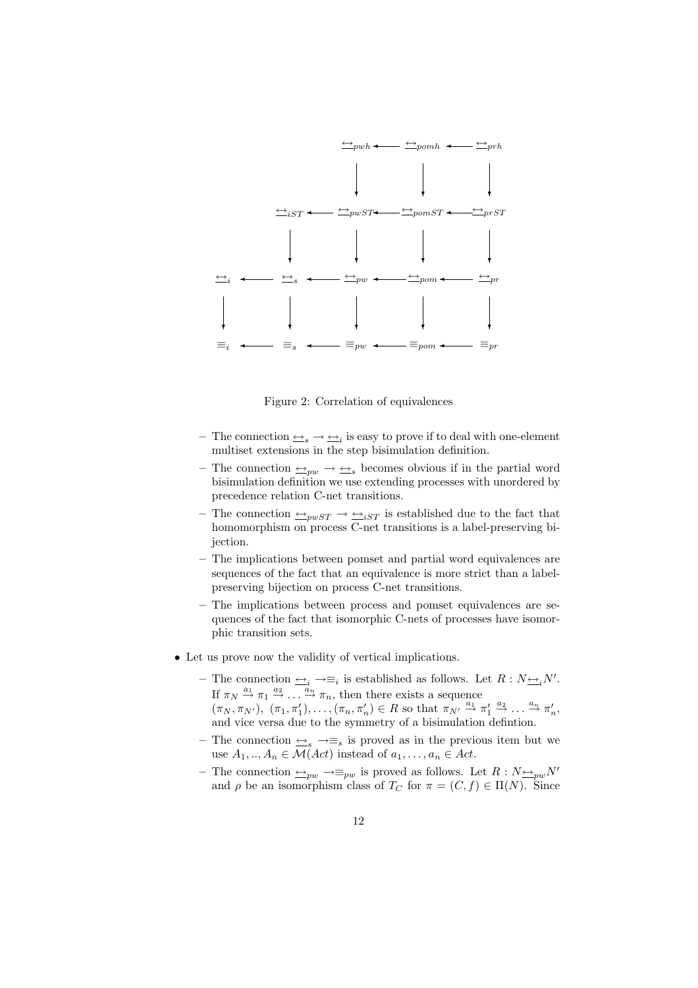

Figure 2: Correlation of equivalences

- The connection  $\triangleq_s \to \triangleq_i$  is easy to prove if to deal with one-element multiset extensions in the step bisimulation definition.
- The connection  $\triangle_{pw} \rightarrow \triangle_{s}$  becomes obvious if in the partial word bisimulation definition we use extending processes with unordered by precedence relation C-net transitions.
- The connection  $\rightarrow_{pwST} \rightarrow \rightarrow_{isT}$  is established due to the fact that homomorphism on process C-net transitions is a label-preserving bijection.
- The implications between pomset and partial word equivalences are sequences of the fact that an equivalence is more strict than a labelpreserving bijection on process C-net transitions.
- The implications between process and pomset equivalences are sequences of the fact that isomorphic C-nets of processes have isomorphic transition sets.
- Let us prove now the validity of vertical implications.
	- The connection  $\overline{\leftrightarrow}_i \rightarrow \equiv_i$  is established as follows. Let  $R : N \overline{\leftrightarrow}_i N'$ . If  $\pi_N \stackrel{a_1}{\rightarrow} \pi_1 \stackrel{a_2}{\rightarrow} \ldots \stackrel{a_n}{\rightarrow} \pi_n$ , then there exists a sequence  $(\pi_N, \pi_{N'})$ ,  $(\pi_1, \pi'_1), \ldots, (\pi_n, \pi'_n) \in R$  so that  $\pi_{N'} \stackrel{a_1}{\rightarrow} \pi'_1 \stackrel{a_2}{\rightarrow} \ldots \stackrel{a_n}{\rightarrow} \pi'_n$ , and vice versa due to the symmetry of a bisimulation defintion.
	- The connection  $\leq_s \to \equiv_s$  is proved as in the previous item but we use  $A_1, ..., A_n \in \mathcal{M}(Act)$  instead of  $a_1, ..., a_n \in Act$ .
	- The connection  $\triangle_{pw}$  →≡<sub>pw</sub> is proved as follows. Let  $R : N \triangleq_{pw} N'$ and  $\rho$  be an isomorphism class of  $T_C$  for  $\pi = (C, f) \in \Pi(N)$ . Since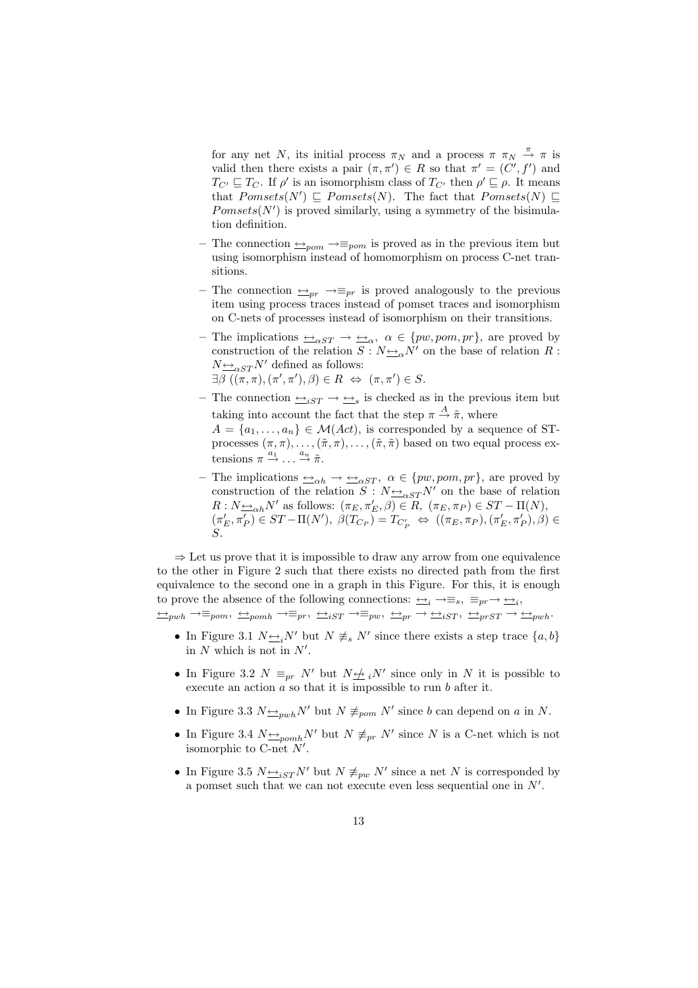for any net N, its initial process  $\pi_N$  and a process  $\pi \pi_N \stackrel{\pi}{\rightarrow} \pi$  is valid then there exists a pair  $(\pi, \pi') \in R$  so that  $\pi' = (C', f')$  and  $T_{C'} \sqsubseteq T_C$ . If  $\rho'$  is an isomorphism class of  $T_{C'}$  then  $\rho' \sqsubseteq \rho$ . It means that  $Pomsets(N') \sqsubseteq Pomsets(N)$ . The fact that  $Pomsets(N) \sqsubseteq$  $Pomsets(N')$  is proved similarly, using a symmetry of the bisimulation definition.

- The connection  $\rightarrow_{\equiv_{\text{pom}}} \rightarrow_{\equiv_{\text{pom}}}$  is proved as in the previous item but using isomorphism instead of homomorphism on process C-net transitions.
- The connection  $\triangleq_{pr} \rightarrow \equiv_{pr}$  is proved analogously to the previous item using process traces instead of pomset traces and isomorphism on C-nets of processes instead of isomorphism on their transitions.
- The implications  $\rightarrow_{\alpha ST} \rightarrow \rightarrow_{\alpha}$ ,  $\alpha \in \{pw, pom, pr\}$ , are proved by construction of the relation  $S : N_{\frac{\leftrightarrow}{\alpha}}N'$  on the base of relation R :  $N_{\frac{\leftrightarrow}{\infty}S T} N'$  defined as follows:  $\exists \beta \ ((\pi, \pi), (\pi', \pi'), \beta) \in R \iff (\pi, \pi') \in S.$
- The connection  $\triangle_{iST} \to \triangleq_s$  is checked as in the previous item but taking into account the fact that the step  $\pi \stackrel{A}{\rightarrow} \tilde{\pi}$ , where  $A = \{a_1, \ldots, a_n\} \in \mathcal{M}(Act)$ , is corresponded by a sequence of STprocesses  $(\pi, \pi), \ldots, (\tilde{\pi}, \pi), \ldots, (\tilde{\pi}, \tilde{\pi})$  based on two equal process extensions  $\pi \stackrel{a_1}{\rightarrow} \ldots \stackrel{a_n}{\rightarrow} \tilde{\pi}$ .
- The implications  $\rightarrow \underline{\leftrightarrow}_{\alpha B} \rightarrow \underline{\leftrightarrow}_{\alpha ST}$ ,  $\alpha \in \{pw, pom, pr\}$ , are proved by construction of the relation  $S : N \rightarrow \alpha ST N'$  on the base of relation  $R: N \rightarrow \infty h^N$  as follows:  $(\pi_E, \pi'_E, \beta) \in R$ ,  $(\pi_E, \pi_P) \in ST - \Pi(N)$ ,  $(\pi'_E, \pi'_P) \in ST - \Pi(N'), \ \beta(T_{C_P}) = T_{C'_P} \iff ((\pi_E, \pi_P), (\pi'_E, \pi'_P), \beta) \in$ S.

 $\Rightarrow$  Let us prove that it is impossible to draw any arrow from one equivalence to the other in Figure 2 such that there exists no directed path from the first equivalence to the second one in a graph in this Figure. For this, it is enough to prove the absence of the following connections:  $\implies_i \rightarrow \equiv_s, \equiv_{pr} \rightarrow \implies_i,$ 

 $\underrightarrow{\hookrightarrow}_{pwh} \rightarrow \equiv_{psm},\ \underrightarrow{\hookrightarrow}_{iST} \rightarrow \equiv_{pw},\ \underrightarrow{\hookrightarrow}_{pr} \rightarrow \underleftarrow{\hookrightarrow}_{iST},\ \underrightarrow{\hookrightarrow}_{prST} \rightarrow \underleftarrow{\hookrightarrow}_{pwh}.$ 

- In Figure 3.1  $N \rightarrow N'$  but  $N \neq s$  N' since there exists a step trace  $\{a, b\}$ in  $N$  which is not in  $N'$ .
- In Figure 3.2  $N \equiv_{pr} N'$  but  $N \not\equiv iN'$  since only in N it is possible to execute an action  $\alpha$  so that it is impossible to run  $b$  after it.
- In Figure 3.3  $N \rightarrow pwhN'$  but  $N \not\equiv_{pom} N'$  since b can depend on a in N.
- In Figure 3.4  $N \triangleq_{\text{pomh}} N'$  but  $N \not\equiv_{pr} N'$  since N is a C-net which is not isomorphic to C-net  $N'$ .
- In Figure 3.5  $N \triangleq_{iST} N'$  but  $N \not\equiv_{pw} N'$  since a net N is corresponded by a pomset such that we can not execute even less sequential one in  $N'$ .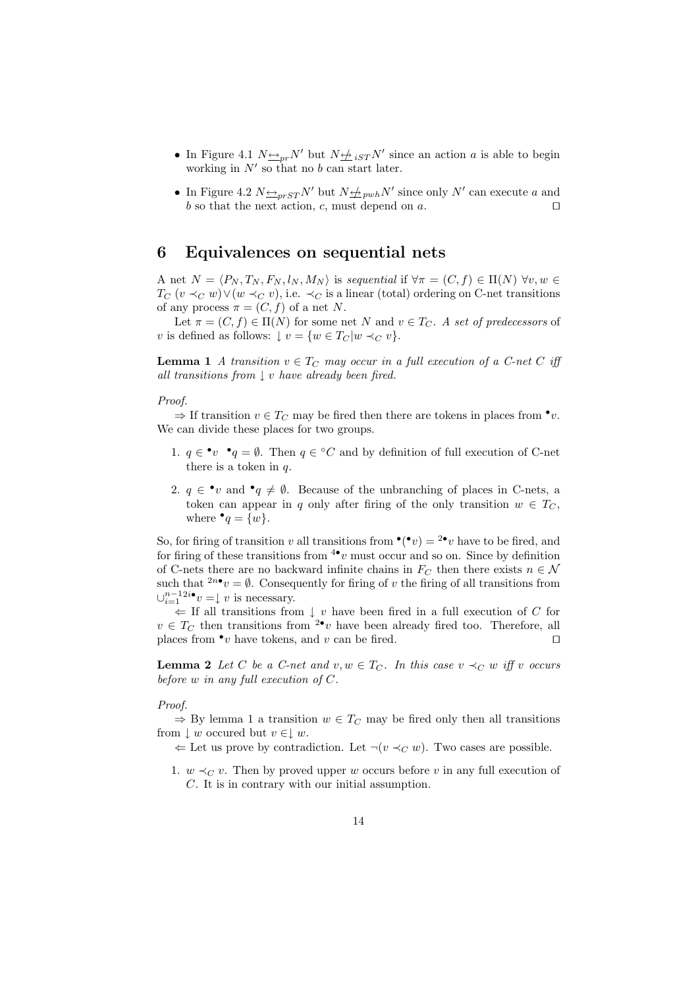- In Figure 4.1  $N \triangleq_{pr} N'$  but  $N \triangleq_{iST} N'$  since an action a is able to begin working in  $N'$  so that no b can start later.
- In Figure 4.2  $N \triangleq_{prST} N'$  but  $N \triangleq_{prbh} N'$  since only  $N'$  can execute a and b so that the next action, c, must depend on a.  $\square$

## 6 Equivalences on sequential nets

A net  $N = \langle P_N, T_N, F_N, l_N, M_N \rangle$  is sequential if  $\forall \pi = (C, f) \in \Pi(N)$   $\forall v, w \in$  $T_C$   $(v \prec_C w) \lor (w \prec_C v)$ , i.e.  $\prec_C$  is a linear (total) ordering on C-net transitions of any process  $\pi = (C, f)$  of a net N.

Let  $\pi = (C, f) \in \Pi(N)$  for some net N and  $v \in T_C$ . A set of predecessors of v is defined as follows:  $\downarrow v = \{w \in T_C | w \prec_C v\}.$ 

**Lemma 1** A transition  $v \in T_C$  may occur in a full execution of a C-net C iff all transitions from  $\downarrow v$  have already been fired.

Proof.

 $\Rightarrow$  If transition  $v \in T_C$  may be fired then there are tokens in places from  $\bullet v$ . We can divide these places for two groups.

- 1.  $q \in \mathbf{v} \cdot q = \emptyset$ . Then  $q \in {}^{\circ}C$  and by definition of full execution of C-net there is a token in  $q$ .
- 2.  $q \in \mathbf{v}$  and  $\mathbf{v}_q \neq \emptyset$ . Because of the unbranching of places in C-nets, a token can appear in q only after firing of the only transition  $w \in T_C$ , where  $\bullet q = \{w\}.$

So, for firing of transition v all transitions from  $\mathbf{C}(\bullet v) = 2\bullet v$  have to be fired, and for firing of these transitions from  $4\bullet v$  must occur and so on. Since by definition of C-nets there are no backward infinite chains in  $F_C$  then there exists  $n \in \mathcal{N}$ such that  $2n\bullet v = \emptyset$ . Consequently for firing of v the firing of all transitions from  $\cup_{i=1}^{n-1} 2^{i}$  •  $v = \downarrow v$  is necessary.

⇐ If all transitions from ↓ v have been fired in a full execution of C for  $v \in T_C$  then transitions from <sup>2•</sup>v have been already fired too. Therefore, all places from  $\bullet v$  have tokens, and v can be fired.

**Lemma 2** Let C be a C-net and  $v, w \in T_C$ . In this case  $v \prec_C w$  iff v occurs before  $w$  in any full execution of  $C$ .

Proof.

 $\Rightarrow$  By lemma 1 a transition  $w \in T_C$  may be fired only then all transitions from  $\downarrow w$  occurred but  $v \in \downarrow w$ .

 $\Leftarrow$  Let us prove by contradiction. Let ¬(v  $\prec_C w$ ). Two cases are possible.

1.  $w \prec_C v$ . Then by proved upper w occurs before v in any full execution of C. It is in contrary with our initial assumption.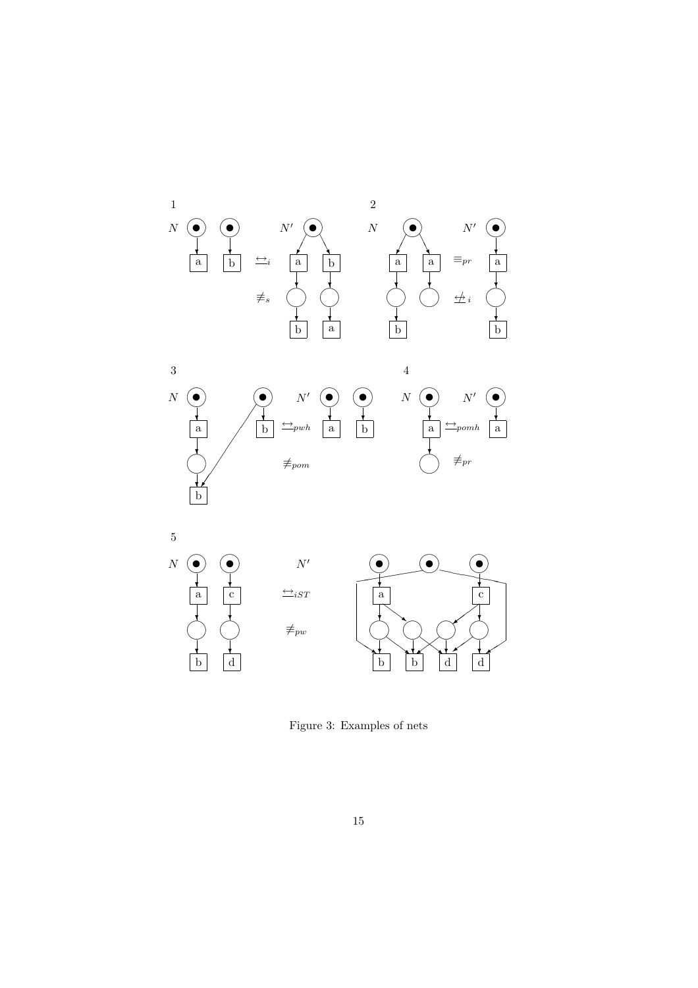

Figure 3: Examples of nets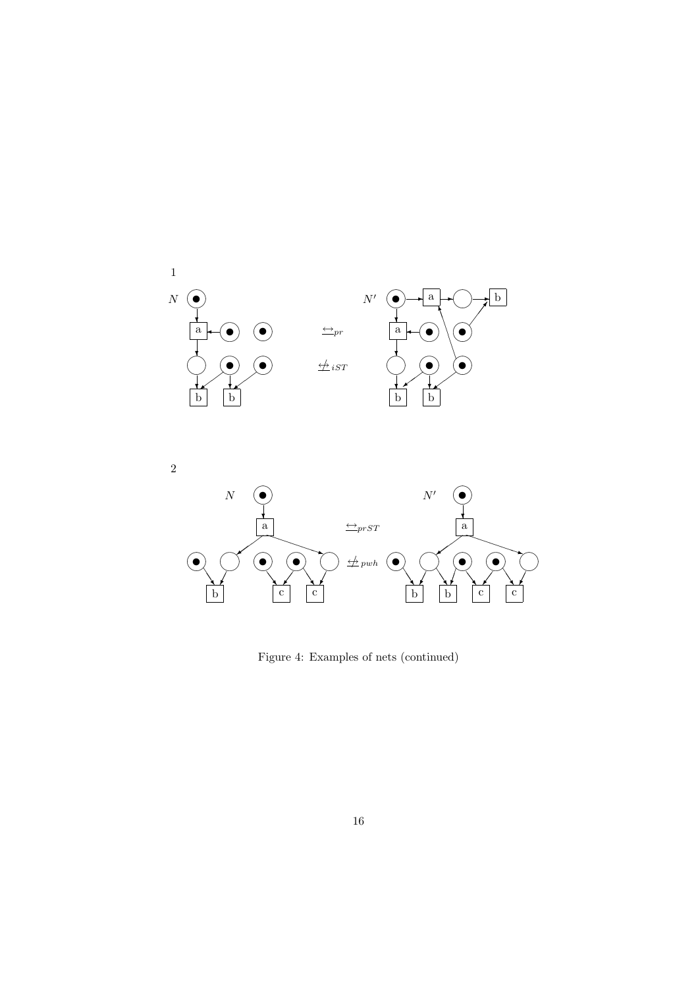

 $\overline{2}$ 



Figure 4: Examples of nets (continued)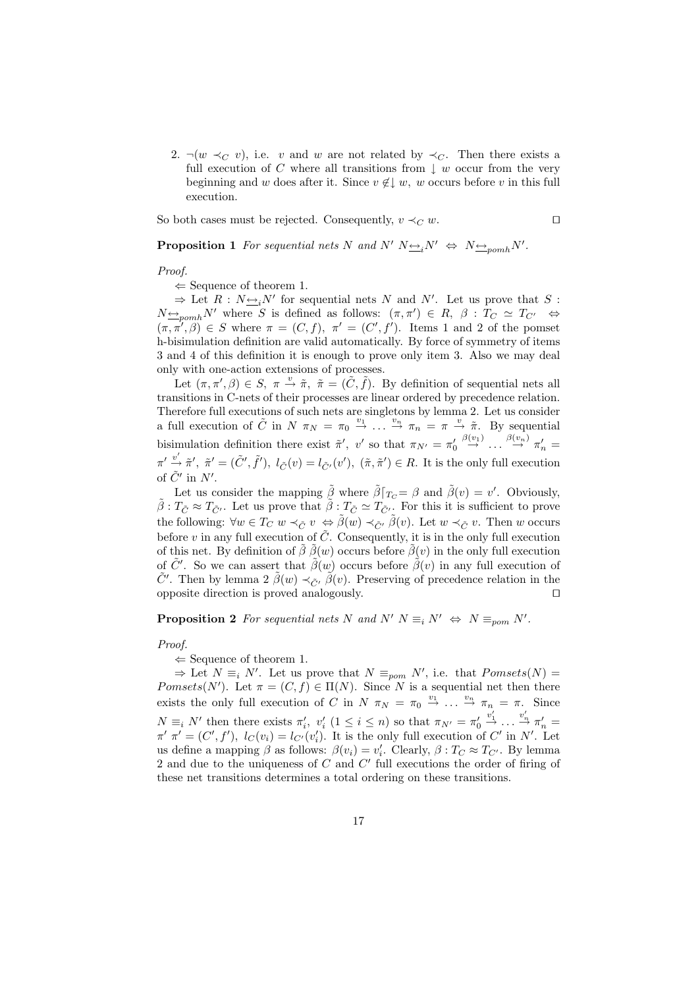2.  $\neg(w \prec_C v)$ , i.e. v and w are not related by  $\prec_C$ . Then there exists a full execution of C where all transitions from  $\downarrow w$  occur from the very beginning and w does after it. Since  $v \notin \downarrow w$ , w occurs before v in this full execution.

So both cases must be rejected. Consequently,  $v \prec_C w$ .

**Proposition 1** For sequential nets N and N'  $N \rightarrow N' \rightarrow N' \rightarrow N'$ .

Proof.

 $\Leftarrow$  Sequence of theorem 1.

 $\Rightarrow$  Let R :  $N \underline{\leftrightarrow}_i N'$  for sequential nets N and N'. Let us prove that S :  $N_{\frac{\leftrightarrow}{\epsilon}}$ <sub>pomh</sub>N' where S is defined as follows:  $(\pi, \pi') \in R$ ,  $\beta : T_C \simeq T_{C'} \Leftrightarrow$  $(\pi, \pi', \beta) \in S$  where  $\pi = (C, f), \pi' = (C', f')$ . Items 1 and 2 of the pomset h-bisimulation definition are valid automatically. By force of symmetry of items 3 and 4 of this definition it is enough to prove only item 3. Also we may deal only with one-action extensions of processes.

Let  $(\pi, \pi', \beta) \in S$ ,  $\pi \stackrel{v}{\rightarrow} \tilde{\pi}$ ,  $\tilde{\pi} = (\tilde{C}, \tilde{f})$ . By definition of sequential nets all transitions in C-nets of their processes are linear ordered by precedence relation. Therefore full executions of such nets are singletons by lemma 2. Let us consider a full execution of  $\tilde{C}$  in  $N \pi_N = \pi_0 \stackrel{v_1}{\to} \ldots \stackrel{v_n}{\to} \pi_n = \pi \stackrel{v}{\to} \tilde{\pi}$ . By sequential bisimulation definition there exist  $\tilde{\pi}'$ , v' so that  $\pi_{N'} = \pi'_0 \stackrel{\beta(v_1)}{\rightarrow} \ldots \stackrel{\beta(v_n)}{\rightarrow} \pi'_n =$  $\pi' \stackrel{v'}{\rightarrow} \tilde{\pi}', \tilde{\pi}' = (\tilde{C}', \tilde{f}'), l_{\tilde{C}}(v) = l_{\tilde{C}'}(v'), (\tilde{\pi}, \tilde{\pi}') \in R$ . It is the only full execution of  $\tilde{C}'$  in  $N'$ .

Let us consider the mapping  $\tilde{\beta}$  where  $\tilde{\beta}[\tau_{C} = \beta$  and  $\tilde{\beta}(v) = v'$ . Obviously,  $\tilde{\beta}: T_{\tilde{C}} \approx T_{\tilde{C}'}$ . Let us prove that  $\tilde{\beta}: T_{\tilde{C}} \simeq T_{\tilde{C}'}$ . For this it is sufficient to prove the following:  $\forall w \in T_C w \prec_{\tilde{C}} v \Leftrightarrow \tilde{\beta}(w) \prec_{\tilde{C}} \tilde{\beta}(v)$ . Let  $w \prec_{\tilde{C}} v$ . Then w occurs before  $v$  in any full execution of  $\tilde{C}$ . Consequently, it is in the only full execution of this net. By definition of  $\tilde{\beta} \tilde{\beta}(w)$  occurs before  $\tilde{\beta}(v)$  in the only full execution of  $\tilde{C}'$ . So we can assert that  $\tilde{\beta}(w)$  occurs before  $\tilde{\beta}(v)$  in any full execution of  $\tilde{C}'$ . Then by lemma 2  $\tilde{\beta}(w) \prec_{\tilde{C}'} \tilde{\beta}(v)$ . Preserving of precedence relation in the opposite direction is proved analogously.  $\Box$ 

**Proposition 2** For sequential nets N and N'  $N \equiv_i N' \Leftrightarrow N \equiv_{\text{pom}} N'.$ 

#### Proof.

 $\Leftarrow$  Sequence of theorem 1.

 $\Rightarrow$  Let N  $\equiv_i N'$ . Let us prove that  $N \equiv_{\text{pom}} N'$ , i.e. that  $Pomsets(N) =$ Pomsets(N'). Let  $\pi = (C, f) \in \Pi(N)$ . Since N is a sequential net then there exists the only full execution of C in N  $\pi_N = \pi_0 \stackrel{v_1}{\to} \dots \stackrel{v_n}{\to} \pi_n = \pi$ . Since  $N \equiv_i N'$  then there exists  $\pi'_i$ ,  $v'_i$   $(1 \leq i \leq n)$  so that  $\pi_{N'} = \pi'_0$  $v'_1 \rightarrow \ldots \stackrel{v'_n}{\rightarrow} \pi'_n =$  $\pi'$   $\pi' = (C', f'),$   $l_C(v_i) = l_{C'}(v'_i)$ . It is the only full execution of  $C'$  in  $N'$ . Let us define a mapping  $\beta$  as follows:  $\beta(v_i) = v'_i$ . Clearly,  $\beta : T_C \approx T_{C'}$ . By lemma 2 and due to the uniqueness of  $C$  and  $C'$  full executions the order of firing of these net transitions determines a total ordering on these transitions.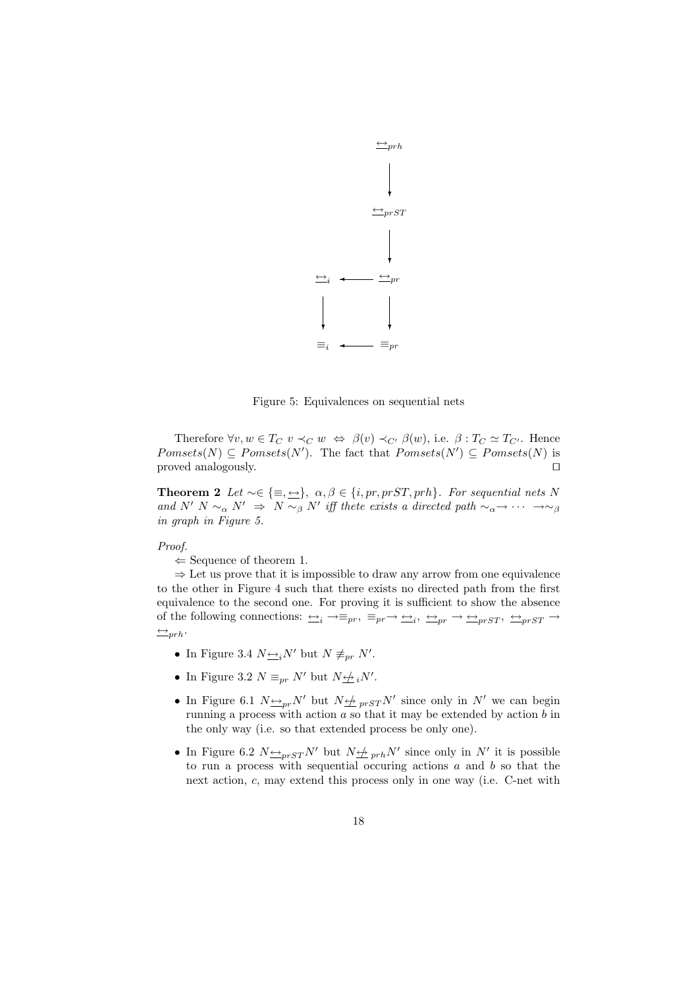

Figure 5: Equivalences on sequential nets

Therefore  $\forall v, w \in T_C$   $v \prec_C w \Leftrightarrow \beta(v) \prec_{C'} \beta(w)$ , i.e.  $\beta : T_C \simeq T_{C'}$ . Hence  $Pomsets(N) \subseteq Pomsets(N')$ . The fact that  $Pomsets(N') \subseteq Pomsets(N)$  is proved analogously.  $\Box$ 

**Theorem 2** Let  $\sim \in \{\equiv, \Longrightarrow\}, \alpha, \beta \in \{i, pr, prST, prh\}.$  For sequential nets N and N' N  $\sim_\alpha$  N'  $\Rightarrow$  N  $\sim_\beta$  N' iff thete exists a directed path  $\sim_\alpha \rightarrow \cdots \rightarrow \sim_\beta$ in graph in Figure 5.

#### Proof.

 $\Leftarrow$  Sequence of theorem 1.

 $\Rightarrow$  Let us prove that it is impossible to draw any arrow from one equivalence to the other in Figure 4 such that there exists no directed path from the first equivalence to the second one. For proving it is sufficient to show the absence of the following connections:  $\implies_i \to \equiv_{pr}, \equiv_{pr} \to \implies_i, \leftrightarrow_{pr} \to \implies_{prST}, \leftrightarrow_{prST} \to$  $ightharpoonup$ 

- In Figure 3.4  $N \underline{\leftrightarrow}_i N'$  but  $N \not\equiv_{pr} N'$ .
- In Figure 3.2  $N \equiv_{pr} N'$  but  $N \not\rightleftharpoons_i N'.$
- In Figure 6.1  $N \rightarrow p r N'$  but  $N \not\rightarrow p r s T N'$  since only in N' we can begin running a process with action  $a$  so that it may be extended by action  $b$  in the only way (i.e. so that extended process be only one).
- In Figure 6.2  $N \rightarrow p r S T N'$  but  $N \not\rightarrow p r h N'$  since only in N' it is possible to run a process with sequential occuring actions  $a$  and  $b$  so that the next action, c, may extend this process only in one way (i.e. C-net with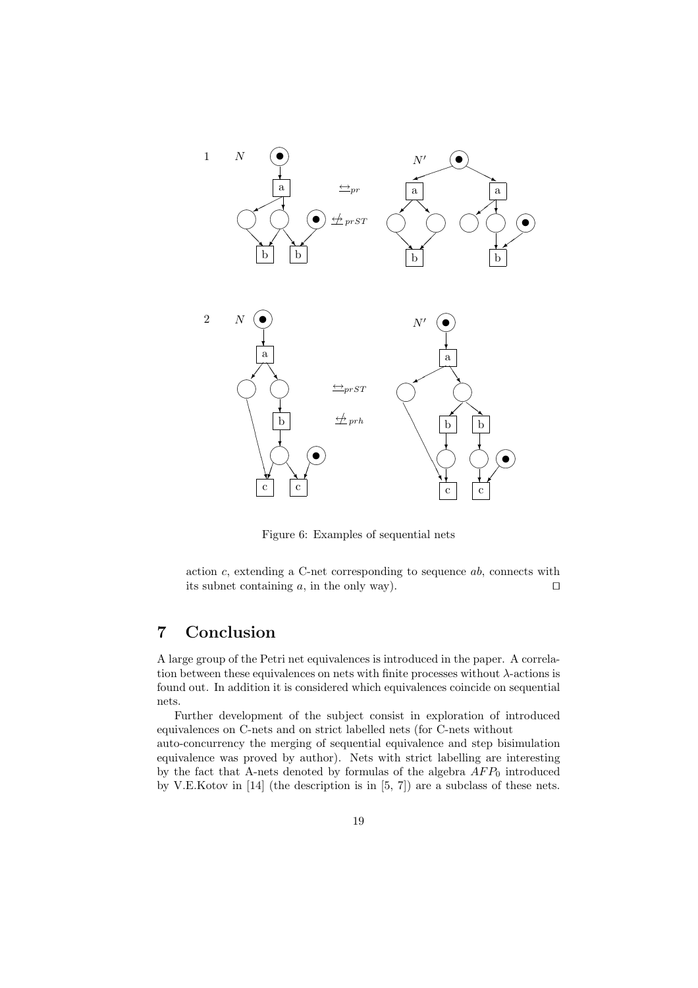

Figure 6: Examples of sequential nets

action  $c$ , extending a C-net corresponding to sequence  $ab$ , connects with its subnet containing a, in the only way).  $\square$ 

## 7 Conclusion

A large group of the Petri net equivalences is introduced in the paper. A correlation between these equivalences on nets with finite processes without  $\lambda$ -actions is found out. In addition it is considered which equivalences coincide on sequential nets.

Further development of the subject consist in exploration of introduced equivalences on C-nets and on strict labelled nets (for C-nets without

auto-concurrency the merging of sequential equivalence and step bisimulation equivalence was proved by author). Nets with strict labelling are interesting by the fact that A-nets denoted by formulas of the algebra  $AFP_0$  introduced by V.E.Kotov in [14] (the description is in [5, 7]) are a subclass of these nets.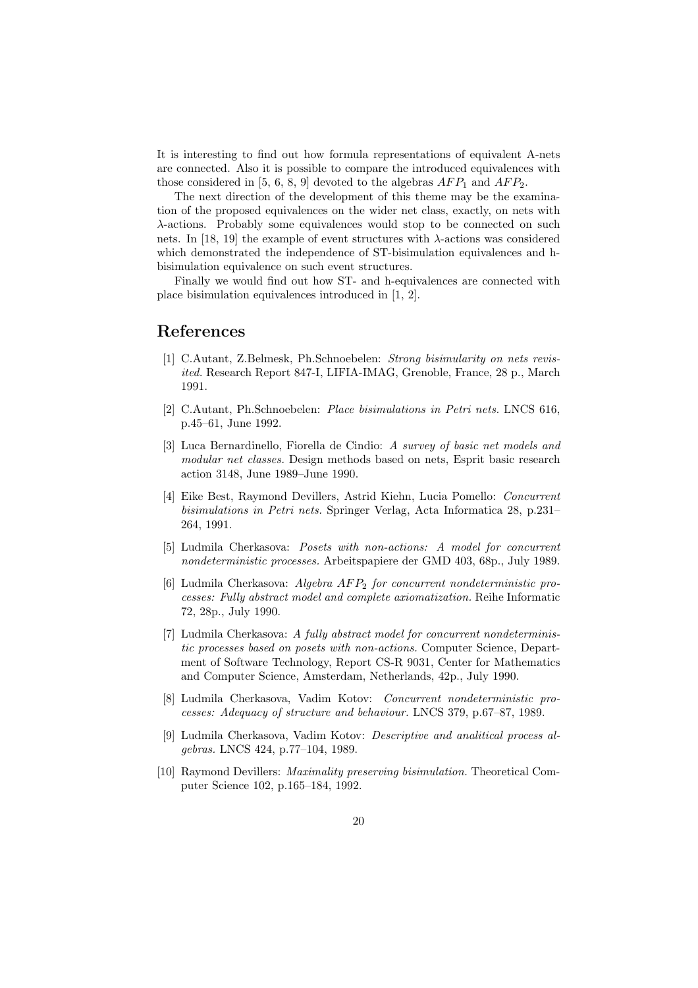It is interesting to find out how formula representations of equivalent A-nets are connected. Also it is possible to compare the introduced equivalences with those considered in [5, 6, 8, 9] devoted to the algebras  $AFP_1$  and  $AFP_2$ .

The next direction of the development of this theme may be the examination of the proposed equivalences on the wider net class, exactly, on nets with λ-actions. Probably some equivalences would stop to be connected on such nets. In [18, 19] the example of event structures with  $\lambda$ -actions was considered which demonstrated the independence of ST-bisimulation equivalences and hbisimulation equivalence on such event structures.

Finally we would find out how ST- and h-equivalences are connected with place bisimulation equivalences introduced in [1, 2].

### References

- [1] C.Autant, Z.Belmesk, Ph.Schnoebelen: Strong bisimularity on nets revisited. Research Report 847-I, LIFIA-IMAG, Grenoble, France, 28 p., March 1991.
- [2] C.Autant, Ph.Schnoebelen: Place bisimulations in Petri nets. LNCS 616, p.45–61, June 1992.
- [3] Luca Bernardinello, Fiorella de Cindio: A survey of basic net models and modular net classes. Design methods based on nets, Esprit basic research action 3148, June 1989–June 1990.
- [4] Eike Best, Raymond Devillers, Astrid Kiehn, Lucia Pomello: Concurrent bisimulations in Petri nets. Springer Verlag, Acta Informatica 28, p.231– 264, 1991.
- [5] Ludmila Cherkasova: Posets with non-actions: A model for concurrent nondeterministic processes. Arbeitspapiere der GMD 403, 68p., July 1989.
- [6] Ludmila Cherkasova: Algebra  $AFP_2$  for concurrent nondeterministic processes: Fully abstract model and complete axiomatization. Reihe Informatic 72, 28p., July 1990.
- [7] Ludmila Cherkasova: A fully abstract model for concurrent nondeterministic processes based on posets with non-actions. Computer Science, Department of Software Technology, Report CS-R 9031, Center for Mathematics and Computer Science, Amsterdam, Netherlands, 42p., July 1990.
- [8] Ludmila Cherkasova, Vadim Kotov: Concurrent nondeterministic processes: Adequacy of structure and behaviour. LNCS 379, p.67–87, 1989.
- [9] Ludmila Cherkasova, Vadim Kotov: Descriptive and analitical process algebras. LNCS 424, p.77–104, 1989.
- [10] Raymond Devillers: Maximality preserving bisimulation. Theoretical Computer Science 102, p.165–184, 1992.